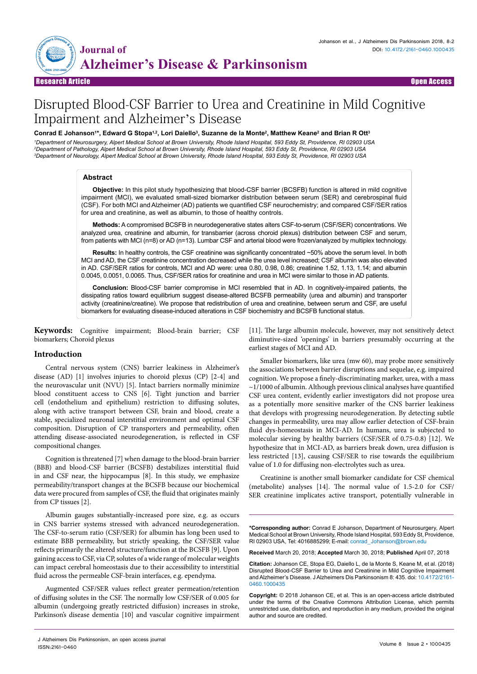

Research Article Open Access

# Disrupted Blood-CSF Barrier to Urea and Creatinine in Mild Cognitive Impairment and Alzheimer's Disease

# Conrad E Johanson'\*, Edward G Stopa<sup>1,2</sup>, Lori Daiello<sup>3</sup>, Suzanne de la Monte<sup>2</sup>, Matthew Keane<sup>2</sup> and Brian R Ott<sup>3</sup>

*1 Department of Neurosurgery, Alpert Medical School at Brown University, Rhode Island Hospital, 593 Eddy St, Providence, RI 02903 USA 2 Department of Pathology, Alpert Medical School at Brown University, Rhode Island Hospital, 593 Eddy St, Providence, RI 02903 USA 3 Department of Neurology, Alpert Medical School at Brown University, Rhode Island Hospital, 593 Eddy St, Providence, RI 02903 USA*

#### **Abstract**

**Objective:** In this pilot study hypothesizing that blood-CSF barrier (BCSFB) function is altered in mild cognitive impairment (MCI), we evaluated small-sized biomarker distribution between serum (SER) and cerebrospinal fluid (CSF). For both MCI and Alzheimer (AD) patients we quantified CSF neurochemistry; and compared CSF/SER ratios for urea and creatinine, as well as albumin, to those of healthy controls.

**Methods:** A compromised BCSFB in neurodegenerative states alters CSF-to-serum (CSF/SER) concentrations. We analyzed urea, creatinine and albumin, for transbarrier (across choroid plexus) distribution between CSF and serum, from patients with MCI (n=8) or AD (n=13). Lumbar CSF and arterial blood were frozen/analyzed by multiplex technology.

**Results:** In healthy controls, the CSF creatinine was significantly concentrated ~50% above the serum level. In both MCI and AD, the CSF creatinine concentration decreased while the urea level increased; CSF albumin was also elevated in AD. CSF/SER ratios for controls, MCI and AD were: urea 0.80, 0.98, 0.86; creatinine 1.52, 1.13, 1.14; and albumin 0.0045, 0.0051, 0.0065. Thus, CSF/SER ratios for creatinine and urea in MCI were similar to those in AD patients.

**Conclusion:** Blood-CSF barrier compromise in MCI resembled that in AD. In cognitively-impaired patients, the dissipating ratios toward equilibrium suggest disease-altered BCSFB permeability (urea and albumin) and transporter activity (creatinine/creatine). We propose that redistribution of urea and creatinine, between serum and CSF, are useful biomarkers for evaluating disease-induced alterations in CSF biochemistry and BCSFB functional status.

**Keywords:** Cognitive impairment; Blood-brain barrier; CSF biomarkers; Choroid plexus

#### **Introduction**

Central nervous system (CNS) barrier leakiness in Alzheimer's disease (AD) [1] involves injuries to choroid plexus (CP) [2-4] and the neurovascular unit (NVU) [5]. Intact barriers normally minimize blood constituent access to CNS [6]. Tight junction and barrier cell (endothelium and epithelium) restriction to diffusing solutes, along with active transport between CSF, brain and blood, create a stable, specialized neuronal interstitial environment and optimal CSF composition. Disruption of CP transporters and permeability, often attending disease-associated neurodegeneration, is reflected in CSF compositional changes.

Cognition is threatened [7] when damage to the blood-brain barrier (BBB) and blood-CSF barrier (BCSFB) destabilizes interstitial fluid in and CSF near, the hippocampus [8]. In this study, we emphasize permeability/transport changes at the BCSFB because our biochemical data were procured from samples of CSF, the fluid that originates mainly from CP tissues [2].

Albumin gauges substantially-increased pore size, e.g. as occurs in CNS barrier systems stressed with advanced neurodegeneration. The CSF-to-serum ratio (CSF/SER) for albumin has long been used to estimate BBB permeability, but strictly speaking, the CSF/SER value reflects primarily the altered structure/function at the BCSFB [9]. Upon gaining access to CSF, via CP, solutes of a wide range of molecular weights can impact cerebral homeostasis due to their accessibility to interstitial fluid across the permeable CSF-brain interfaces, e.g. ependyma.

Augmented CSF/SER values reflect greater permeation/retention of diffusing solutes in the CSF. The normally low CSF/SER of 0.005 for albumin (undergoing greatly restricted diffusion) increases in stroke, Parkinson's disease dementia [10] and vascular cognitive impairment [11]. The large albumin molecule, however, may not sensitively detect diminutive-sized 'openings' in barriers presumably occurring at the earliest stages of MCI and AD.

Smaller biomarkers, like urea (mw 60), may probe more sensitively the associations between barrier disruptions and sequelae, e.g. impaired cognition. We propose a finely-discriminating marker, urea, with a mass ~1/1000 of albumin. Although previous clinical analyses have quantified CSF urea content, evidently earlier investigators did not propose urea as a potentially more sensitive marker of the CNS barrier leakiness that develops with progressing neurodegeneration. By detecting subtle changes in permeability, urea may allow earlier detection of CSF-brain fluid dys-homeostasis in MCI-AD. In humans, urea is subjected to molecular sieving by healthy barriers (CSF/SER of 0.75-0.8) [12]. We hypothesize that in MCI-AD, as barriers break down, urea diffusion is less restricted [13], causing CSF/SER to rise towards the equilibrium value of 1.0 for diffusing non-electrolytes such as urea.

Creatinine is another small biomarker candidate for CSF chemical (metabolite) analyses [14]. The normal value of 1.5-2.0 for CSF/ SER creatinine implicates active transport, potentially vulnerable in

**\*Corresponding author:** Conrad E Johanson, Department of Neurosurgery, Alpert Medical School at Brown University, Rhode Island Hospital, 593 Eddy St, Providence, RI 02903 USA, Tel: 4016885299; E-mail: conrad\_Johanson@brown.edu

**Received** March 20, 2018; **Accepted** March 30, 2018; **Published** April 07, 2018

**Citation:** Johanson CE, Stopa EG, Daiello L, de la Monte S, Keane M, et al. (2018) Disrupted Blood-CSF Barrier to Urea and Creatinine in Mild Cognitive Impairment and Alzheimer's Disease. J Alzheimers Dis Parkinsonism 8: 435. doi: 10.4172/2161- 0460.1000435

**Copyright:** © 2018 Johanson CE, et al. This is an open-access article distributed under the terms of the Creative Commons Attribution License, which permits unrestricted use, distribution, and reproduction in any medium, provided the original author and source are credited.

J Alzheimers Dis Parkinsonism, an open access journal ISSN:2161-0460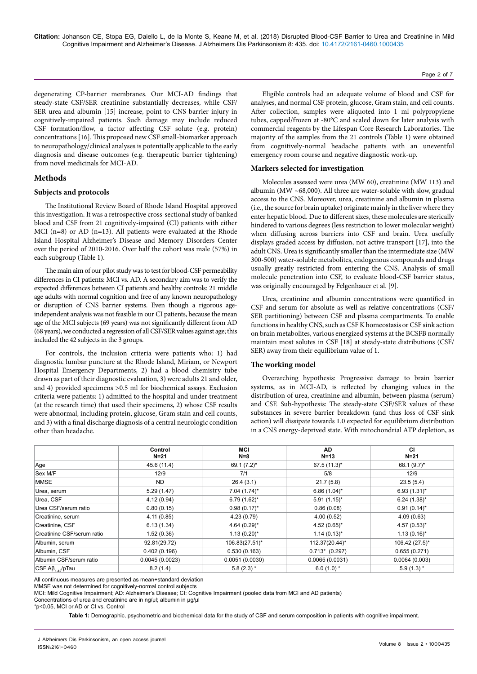degenerating CP-barrier membranes. Our MCI-AD findings that steady-state CSF/SER creatinine substantially decreases, while CSF/ SER urea and albumin [15] increase, point to CNS barrier injury in cognitively-impaired patients. Such damage may include reduced CSF formation/flow, a factor affecting CSF solute (e.g. protein) concentrations [16]. This proposed new CSF small-biomarker approach to neuropathology/clinical analyses is potentially applicable to the early diagnosis and disease outcomes (e.g. therapeutic barrier tightening) from novel medicinals for MCI-AD.

# **Methods**

### **Subjects and protocols**

The Institutional Review Board of Rhode Island Hospital approved this investigation. It was a retrospective cross-sectional study of banked blood and CSF from 21 cognitively-impaired (CI) patients with either MCI (n=8) or AD (n=13). All patients were evaluated at the Rhode Island Hospital Alzheimer's Disease and Memory Disorders Center over the period of 2010-2016. Over half the cohort was male (57%) in each subgroup (Table 1).

The main aim of our pilot study was to test for blood-CSF permeability differences in CI patients: MCI vs. AD. A secondary aim was to verify the expected differences between CI patients and healthy controls: 21 middle age adults with normal cognition and free of any known neuropathology or disruption of CNS barrier systems. Even though a rigorous ageindependent analysis was not feasible in our CI patients, because the mean age of the MCI subjects (69 years) was not significantly different from AD (68 years), we conducted a regression of all CSF/SER values against age; this included the 42 subjects in the 3 groups.

For controls, the inclusion criteria were patients who: 1) had diagnostic lumbar puncture at the Rhode Island, Miriam, or Newport Hospital Emergency Departments, 2) had a blood chemistry tube drawn as part of their diagnostic evaluation, 3) were adults 21 and older, and 4) provided specimens >0.5 ml for biochemical assays. Exclusion criteria were patients: 1) admitted to the hospital and under treatment (at the research time) that used their specimens, 2) whose CSF results were abnormal, including protein, glucose, Gram stain and cell counts, and 3) with a final discharge diagnosis of a central neurologic condition other than headache.

Eligible controls had an adequate volume of blood and CSF for analyses, and normal CSF protein, glucose, Gram stain, and cell counts. After collection, samples were aliquoted into 1 ml polypropylene tubes, capped/frozen at -80°C and scaled down for later analysis with commercial reagents by the Lifespan Core Research Laboratories. The majority of the samples from the 21 controls (Table 1) were obtained from cognitively-normal headache patients with an uneventful emergency room course and negative diagnostic work-up.

### **Markers selected for investigation**

Molecules assessed were urea (MW 60), creatinine (MW 113) and albumin (MW  $~68,000$ ). All three are water-soluble with slow, gradual access to the CNS. Moreover, urea, creatinine and albumin in plasma (i.e., the source for brain uptake) originate mainly in the liver where they enter hepatic blood. Due to different sizes, these molecules are sterically hindered to various degrees (less restriction to lower molecular weight) when diffusing across barriers into CSF and brain. Urea usefully displays graded access by diffusion, not active transport [17], into the adult CNS. Urea is significantly smaller than the intermediate size (MW 300-500) water-soluble metabolites, endogenous compounds and drugs usually greatly restricted from entering the CNS. Analysis of small molecule penetration into CSF, to evaluate blood-CSF barrier status, was originally encouraged by Felgenhauer et al. [9].

Urea, creatinine and albumin concentrations were quantified in CSF and serum for absolute as well as relative concentrations (CSF/ SER partitioning) between CSF and plasma compartments. To enable functions in healthy CNS, such as CSF K homeostasis or CSF sink action on brain metabolites, various energized systems at the BCSFB normally maintain most solutes in CSF [18] at steady-state distributions (CSF/ SER) away from their equilibrium value of 1.

#### **The working model**

Overarching hypothesis: Progressive damage to brain barrier systems, as in MCI-AD, is reflected by changing values in the distribution of urea, creatinine and albumin, between plasma (serum) and CSF. Sub-hypothesis: The steady-state CSF/SER values of these substances in severe barrier breakdown (and thus loss of CSF sink action) will dissipate towards 1.0 expected for equilibrium distribution in a CNS energy-deprived state. With mitochondrial ATP depletion, as

|                                                  | Control<br>N=21 |                  | AD.<br>$N=13$    | СI<br>$N=21$     |  |
|--------------------------------------------------|-----------------|------------------|------------------|------------------|--|
|                                                  |                 | $N=8$            |                  |                  |  |
| Age                                              | 45.6 (11.4)     | 69.1 (7.2)*      | 67.5 (11.3)*     | 68.1 (9.7)*      |  |
| Sex M/F                                          | 12/9            | 7/1              | 5/8              | 12/9             |  |
| <b>MMSE</b>                                      | ND.             | 26.4(3.1)        | 21.7(5.8)        | 23.5(5.4)        |  |
| Urea, serum                                      | 5.29(1.47)      | $7.04(1.74)^*$   | $6.86(1.04)^{*}$ | $6.93(1.31)^{*}$ |  |
| Urea, CSF                                        | 4.12(0.94)      | $6.79(1.62)^{*}$ | $5.91(1.15)^{*}$ | $6.24(1.38)^{*}$ |  |
| Urea CSF/serum ratio                             | 0.80(0.15)      | $0.98(0.17)^{*}$ | 0.86(0.08)       | $0.91(0.14)^{*}$ |  |
| Creatinine, serum                                | 4.11(0.85)      | 4.23(0.79)       | 4.00(0.52)       | 4.09(0.63)       |  |
| Creatinine, CSF                                  | 6.13(1.34)      | $4.64(0.29)$ *   | $4.52(0.65)$ *   | $4.57(0.53)$ *   |  |
| Creatinine CSF/serum ratio                       | 1.52(0.36)      | $1.13(0.20)$ *   | $1.14(0.13)^{*}$ | $1.13(0.16)^{*}$ |  |
| Albumin, serum                                   | 92.81(29.72)    | 106.83(27.51)*   | 112.37(20.44)*   | 106.42 (27.5)*   |  |
| Albumin, CSF                                     | 0.402(0.196)    | 0.530(0.163)     | $0.713*$ (0.297) | 0.655(0.271)     |  |
| Albumin CSF/serum ratio                          | 0.0045(0.0023)  | 0.0051(0.0030)   | 0.0065(0.0031)   | 0.0064(0.003)    |  |
| $\mathsf{CSF}\,\mathsf{AB}_{1.42}/\mathsf{pTau}$ | 8.2(1.4)        | $5.8(2.3)$ *     | $6.0(1.0)*$      | $5.9(1.3)$ *     |  |

All continuous measures are presented as mean+standard deviation

MMSE was not determined for cognitively-normal control subjects

MCI: Mild Cognitive Impairment; AD: Alzheimer's Disease; CI: Cognitive Impairment (pooled data from MCI and AD patients)

Concentrations of urea and creatinine are in ng/µl; albumin in µg/µl

\*p<0.05, MCI or AD or CI vs. Control

**Table 1:** Demographic, psychometric and biochemical data for the study of CSF and serum composition in patients with cognitive impairment.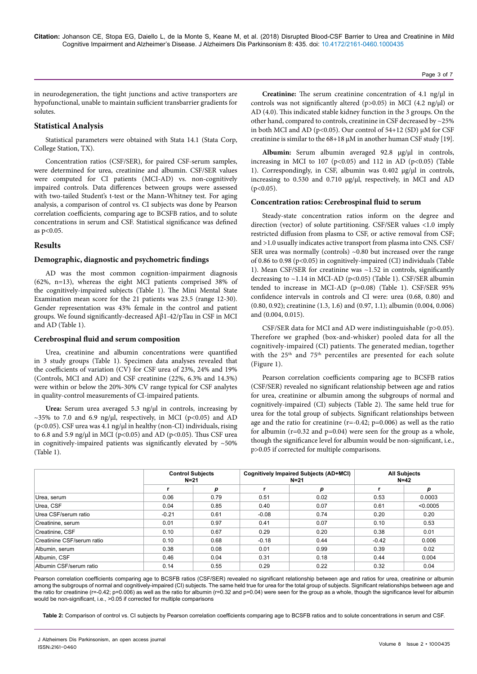in neurodegeneration, the tight junctions and active transporters are hypofunctional, unable to maintain sufficient transbarrier gradients for solutes.

# **Statistical Analysis**

Statistical parameters were obtained with Stata 14.1 (Stata Corp, College Station, TX).

Concentration ratios (CSF/SER), for paired CSF-serum samples, were determined for urea, creatinine and albumin. CSF/SER values were computed for CI patients (MCI-AD) vs. non-cognitively impaired controls. Data differences between groups were assessed with two-tailed Student's t-test or the Mann-Whitney test. For aging analysis, a comparison of control vs. CI subjects was done by Pearson correlation coefficients, comparing age to BCSFB ratios, and to solute concentrations in serum and CSF. Statistical significance was defined as p<0.05.

# **Results**

## **Demographic, diagnostic and psychometric findings**

AD was the most common cognition-impairment diagnosis (62%, n=13), whereas the eight MCI patients comprised 38% of the cognitively-impaired subjects (Table 1). The Mini Mental State Examination mean score for the 21 patients was 23.5 (range 12-30). Gender representation was 43% female in the control and patient groups. We found significantly-decreased Aβ1-42/pTau in CSF in MCI and AD (Table 1).

#### **Cerebrospinal fluid and serum composition**

Urea, creatinine and albumin concentrations were quantified in 3 study groups (Table 1). Specimen data analyses revealed that the coefficients of variation (CV) for CSF urea of 23%, 24% and 19% (Controls, MCI and AD) and CSF creatinine (22%, 6.3% and 14.3%) were within or below the 20%-30% CV range typical for CSF analytes in quality-control measurements of CI-impaired patients.

Urea: Serum urea averaged 5.3 ng/µl in controls, increasing by  $\sim$ 35% to 7.0 and 6.9 ng/µl, respectively, in MCI (p<0.05) and AD ( $p$ <0.05). CSF urea was 4.1 ng/ $\mu$ l in healthy (non-CI) individuals, rising to 6.8 and 5.9 ng/ $\mu$ l in MCI (p<0.05) and AD (p<0.05). Thus CSF urea in cognitively-impaired patients was significantly elevated by  $~50\%$ (Table 1).

**Creatinine:** The serum creatinine concentration of 4.1 ng/ $\mu$ l in controls was not significantly altered ( $p > 0.05$ ) in MCI (4.2 ng/ $\mu$ l) or AD (4.0). This indicated stable kidney function in the 3 groups. On the other hand, compared to controls, creatinine in CSF decreased by ~25% in both MCI and AD ( $p<0.05$ ). Our control of 54+12 (SD)  $\mu$ M for CSF creatinine is similar to the 68+18 µM in another human CSF study [19].

Albumin: Serum albumin averaged 92.8 µg/µl in controls, increasing in MCI to 107 ( $p<0.05$ ) and 112 in AD ( $p<0.05$ ) (Table 1). Correspondingly, in CSF, albumin was 0.402 µg/µl in controls, increasing to 0.530 and 0.710 µg/µl, respectively, in MCI and AD  $(p<0.05)$ .

#### **Concentration ratios: Cerebrospinal fluid to serum**

Steady-state concentration ratios inform on the degree and direction (vector) of solute partitioning. CSF/SER values <1.0 imply restricted diffusion from plasma to CSF, or active removal from CSF; and >1.0 usually indicates active transport from plasma into CNS. CSF/ SER urea was normally (controls)  $~0.80$  but increased over the range of 0.86 to 0.98 (p<0.05) in cognitively-impaired (CI) individuals (Table 1). Mean CSF/SER for creatinine was  $\sim$ 1.52 in controls, significantly decreasing to  $\sim$ 1.14 in MCI-AD (p<0.05) (Table 1). CSF/SER albumin tended to increase in MCI-AD (p=0.08) (Table 1). CSF/SER 95% confidence intervals in controls and CI were: urea (0.68, 0.80) and (0.80, 0.92); creatinine (1.3, 1.6) and (0.97, 1.1); albumin (0.004, 0.006) and (0.004, 0.015).

CSF/SER data for MCI and AD were indistinguishable (p>0.05). Therefore we graphed (box-and-whisker) pooled data for all the cognitively-impaired (CI) patients. The generated median, together with the 25<sup>th</sup> and 75<sup>th</sup> percentiles are presented for each solute (Figure 1).

Pearson correlation coefficients comparing age to BCSFB ratios (CSF/SER) revealed no significant relationship between age and ratios for urea, creatinine or albumin among the subgroups of normal and cognitively-impaired (CI) subjects (Table 2). The same held true for urea for the total group of subjects. Significant relationships between age and the ratio for creatinine ( $r=-0.42$ ;  $p=0.006$ ) as well as the ratio for albumin ( $r=0.32$  and  $p=0.04$ ) were seen for the group as a whole, though the significance level for albumin would be non-significant, i.e., p>0.05 if corrected for multiple comparisons.

|                            |         | <b>Control Subjects</b><br>$N=21$ |         | <b>Cognitively Impaired Subjects (AD+MCI)</b><br>$N = 21$ |         | <b>All Subjects</b><br>$N=42$ |  |
|----------------------------|---------|-----------------------------------|---------|-----------------------------------------------------------|---------|-------------------------------|--|
|                            |         | p                                 |         | p                                                         |         | р                             |  |
| Urea, serum                | 0.06    | 0.79                              | 0.51    | 0.02                                                      | 0.53    | 0.0003                        |  |
| Urea, CSF                  | 0.04    | 0.85                              | 0.40    | 0.07                                                      | 0.61    | < 0.0005                      |  |
| Urea CSF/serum ratio       | $-0.21$ | 0.61                              | $-0.08$ | 0.74                                                      | 0.20    | 0.20                          |  |
| Creatinine, serum          | 0.01    | 0.97                              | 0.41    | 0.07                                                      | 0.10    | 0.53                          |  |
| Creatinine, CSF            | 0.10    | 0.67                              | 0.29    | 0.20                                                      | 0.38    | 0.01                          |  |
| Creatinine CSF/serum ratio | 0.10    | 0.68                              | $-0.18$ | 0.44                                                      | $-0.42$ | 0.006                         |  |
| Albumin, serum             | 0.38    | 0.08                              | 0.01    | 0.99                                                      | 0.39    | 0.02                          |  |
| Albumin, CSF               | 0.46    | 0.04                              | 0.31    | 0.18                                                      | 0.44    | 0.004                         |  |
| Albumin CSF/serum ratio    | 0.14    | 0.55                              | 0.29    | 0.22                                                      | 0.32    | 0.04                          |  |

Pearson correlation coefficients comparing age to BCSFB ratios (CSF/SER) revealed no significant relationship between age and ratios for urea, creatinine or albumin among the subgroups of normal and cognitively-impaired (CI) subjects. The same held true for urea for the total group of subjects. Significant relationships between age and the ratio for creatinine (r=-0.42; p=0.006) as well as the ratio for albumin (r=0.32 and p=0.04) were seen for the group as a whole, though the significance level for albumin would be non-significant, i.e., >0.05 if corrected for multiple comparisons

**Table 2:** Comparison of control vs. CI subjects by Pearson correlation coefficients comparing age to BCSFB ratios and to solute concentrations in serum and CSF.

Page 3 of 7

J Alzheimers Dis Parkinsonism, an open access journal ISSN:2161-0460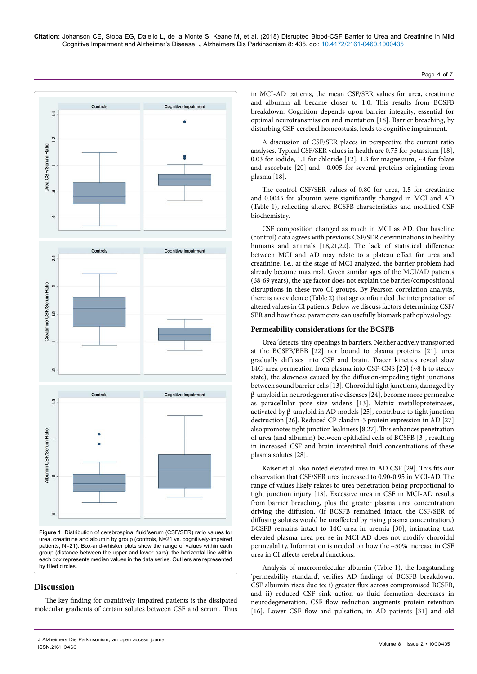

**Figure 1:** Distribution of cerebrospinal fluid/serum (CSF/SER) ratio values for urea, creatinine and albumin by group (controls, N=21 vs. cognitively-impaired patients, N=21). Box-and-whisker plots show the range of values within each group (distance between the upper and lower bars); the horizontal line within each box represents median values in the data series. Outliers are represented by filled circles.

## **Discussion**

The key finding for cognitively-impaired patients is the dissipated molecular gradients of certain solutes between CSF and serum. Thus

in MCI-AD patients, the mean CSF/SER values for urea, creatinine and albumin all became closer to 1.0. This results from BCSFB breakdown. Cognition depends upon barrier integrity, essential for optimal neurotransmission and mentation [18]. Barrier breaching, by disturbing CSF-cerebral homeostasis, leads to cognitive impairment.

Page 4 of 7

A discussion of CSF/SER places in perspective the current ratio analyses. Typical CSF/SER values in health are 0.75 for potassium [18], 0.03 for iodide, 1.1 for chloride [12], 1.3 for magnesium, ~4 for folate and ascorbate [20] and ~0.005 for several proteins originating from plasma [18].

The control CSF/SER values of 0.80 for urea, 1.5 for creatinine and 0.0045 for albumin were significantly changed in MCI and AD (Table 1), reflecting altered BCSFB characteristics and modified CSF biochemistry.

CSF composition changed as much in MCI as AD. Our baseline (control) data agrees with previous CSF/SER determinations in healthy humans and animals [18,21,22]. The lack of statistical difference between MCI and AD may relate to a plateau effect for urea and creatinine, i.e., at the stage of MCI analyzed, the barrier problem had already become maximal. Given similar ages of the MCI/AD patients (68-69 years), the age factor does not explain the barrier/compositional disruptions in these two CI groups. By Pearson correlation analysis, there is no evidence (Table 2) that age confounded the interpretation of altered values in CI patients. Below we discuss factors determining CSF/ SER and how these parameters can usefully biomark pathophysiology.

### **Permeability considerations for the BCSFB**

Urea 'detects' tiny openings in barriers. Neither actively transported at the BCSFB/BBB [22] nor bound to plasma proteins [21], urea gradually diffuses into CSF and brain. Tracer kinetics reveal slow 14C-urea permeation from plasma into CSF-CNS [23] (~8 h to steady state), the slowness caused by the diffusion-impeding tight junctions between sound barrier cells [13]. Choroidal tight junctions, damaged by β-amyloid in neurodegenerative diseases [24], become more permeable as paracellular pore size widens [13]. Matrix metalloproteinases, activated by β-amyloid in AD models [25], contribute to tight junction destruction [26]. Reduced CP claudin-5 protein expression in AD [27] also promotes tight junction leakiness [8,27]. This enhances penetration of urea (and albumin) between epithelial cells of BCSFB [3], resulting in increased CSF and brain interstitial fluid concentrations of these plasma solutes [28].

Kaiser et al. also noted elevated urea in AD CSF [29]. This fits our observation that CSF/SER urea increased to 0.90-0.95 in MCI-AD. The range of values likely relates to urea penetration being proportional to tight junction injury [13]. Excessive urea in CSF in MCI-AD results from barrier breaching, plus the greater plasma urea concentration driving the diffusion. (If BCSFB remained intact, the CSF/SER of diffusing solutes would be unaffected by rising plasma concentration.) BCSFB remains intact to 14C-urea in uremia [30], intimating that elevated plasma urea per se in MCI-AD does not modify choroidal permeability. Information is needed on how the ~50% increase in CSF urea in CI affects cerebral functions.

Analysis of macromolecular albumin (Table 1), the longstanding 'permeability standard', verifies AD findings of BCSFB breakdown. CSF albumin rises due to: i) greater flux across compromised BCSFB, and ii) reduced CSF sink action as fluid formation decreases in neurodegeneration. CSF flow reduction augments protein retention [16]. Lower CSF flow and pulsation, in AD patients [31] and old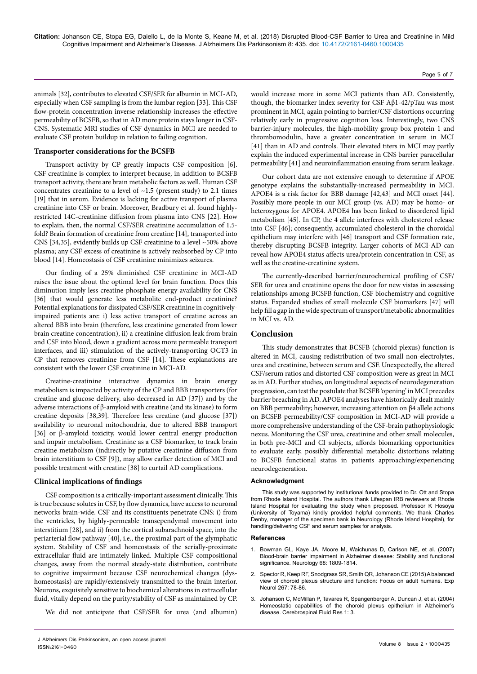animals [32], contributes to elevated CSF/SER for albumin in MCI-AD, especially when CSF sampling is from the lumbar region [33]. This CSF flow-protein concentration inverse relationship increases the effective permeability of BCSFB, so that in AD more protein stays longer in CSF-CNS. Systematic MRI studies of CSF dynamics in MCI are needed to evaluate CSF protein buildup in relation to failing cognition.

### **Transporter considerations for the BCSFB**

Transport activity by CP greatly impacts CSF composition [6]. CSF creatinine is complex to interpret because, in addition to BCSFB transport activity, there are brain metabolic factors as well. Human CSF concentrates creatinine to a level of  $\sim$ 1.5 (present study) to 2.1 times [19] that in serum. Evidence is lacking for active transport of plasma creatinine into CSF or brain. Moreover, Bradbury et al. found highlyrestricted 14C-creatinine diffusion from plasma into CNS [22]. How to explain, then, the normal CSF/SER creatinine accumulation of 1.5 fold? Brain formation of creatinine from creatine [14], transported into CNS [34,35], evidently builds up CSF creatinine to a level ~50% above plasma; any CSF excess of creatinine is actively reabsorbed by CP into blood [14]. Homeostasis of CSF creatinine minimizes seizures.

Our finding of a 25% diminished CSF creatinine in MCI-AD raises the issue about the optimal level for brain function. Does this diminution imply less creatine-phosphate energy availability for CNS [36] that would generate less metabolite end-product creatinine? Potential explanations for dissipated CSF/SER creatinine in cognitivelyimpaired patients are: i) less active transport of creatine across an altered BBB into brain (therefore, less creatinine generated from lower brain creatine concentration), ii) a creatinine diffusion leak from brain and CSF into blood, down a gradient across more permeable transport interfaces, and iii) stimulation of the actively-transporting OCT3 in CP that removes creatinine from CSF [14]. These explanations are consistent with the lower CSF creatinine in MCI-AD.

Creatine-creatinine interactive dynamics in brain energy metabolism is impacted by activity of the CP and BBB transporters (for creatine and glucose delivery, also decreased in AD [37]) and by the adverse interactions of β-amyloid with creatine (and its kinase) to form creatine deposits [38,39]. Therefore less creatine (and glucose [37]) availability to neuronal mitochondria, due to altered BBB transport [36] or β-amyloid toxicity, would lower central energy production and impair metabolism. Creatinine as a CSF biomarker, to track brain creatine metabolism (indirectly by putative creatinine diffusion from brain interstitium to CSF [9]), may allow earlier detection of MCI and possible treatment with creatine [38] to curtail AD complications.

#### **Clinical implications of findings**

CSF composition is a critically-important assessment clinically. This is true because solutes in CSF, by flow dynamics, have access to neuronal networks brain-wide. CSF and its constituents penetrate CNS: i) from the ventricles, by highly-permeable transependymal movement into interstitium [28], and ii) from the cortical subarachnoid space, into the periarterial flow pathway [40], i.e., the proximal part of the glymphatic system. Stability of CSF and homeostasis of the serially-proximate extracellular fluid are intimately linked. Multiple CSF compositional changes, away from the normal steady-state distribution, contribute to cognitive impairment because CSF neurochemical changes (dyshomeostasis) are rapidly/extensively transmitted to the brain interior. Neurons, exquisitely sensitive to biochemical alterations in extracellular fluid, vitally depend on the purity/stability of CSF as maintained by CP.

We did not anticipate that CSF/SER for urea (and albumin)

would increase more in some MCI patients than AD. Consistently, though, the biomarker index severity for CSF Aβ1-42/pTau was most prominent in MCI, again pointing to barrier/CSF distortions occurring relatively early in progressive cognition loss. Interestingly, two CNS barrier-injury molecules, the high-mobility group box protein 1 and thrombomodulin, have a greater concentration in serum in MCI [41] than in AD and controls. Their elevated titers in MCI may partly explain the induced experimental increase in CNS barrier paracellular permeability [41] and neuroinflammation ensuing from serum leakage.

Our cohort data are not extensive enough to determine if APOE genotype explains the substantially-increased permeability in MCI. APOE4 is a risk factor for BBB damage [42,43] and MCI onset [44]. Possibly more people in our MCI group (vs. AD) may be homo- or heterozygous for APOE4. APOE4 has been linked to disordered lipid metabolism [45]. In CP, the 4 allele interferes with cholesterol release into CSF [46]; consequently, accumulated cholesterol in the choroidal epithelium may interfere with [46] transport and CSF formation rate, thereby disrupting BCSFB integrity. Larger cohorts of MCI-AD can reveal how APOE4 status affects urea/protein concentration in CSF, as well as the creatine-creatinine system.

The currently-described barrier/neurochemical profiling of CSF/ SER for urea and creatinine opens the door for new vistas in assessing relationships among BCSFB function, CSF biochemistry and cognitive status. Expanded studies of small molecule CSF biomarkers [47] will help fill a gap in the wide spectrum of transport/metabolic abnormalities in MCI vs. AD.

#### **Conclusion**

This study demonstrates that BCSFB (choroid plexus) function is altered in MCI, causing redistribution of two small non-electrolytes, urea and creatinine, between serum and CSF. Unexpectedly, the altered CSF/serum ratios and distorted CSF composition were as great in MCI as in AD. Further studies, on longitudinal aspects of neurodegeneration progression, can test the postulate that BCSFB 'opening' in MCI precedes barrier breaching in AD. APOE4 analyses have historically dealt mainly on BBB permeability; however, increasing attention on β4 allele actions on BCSFB permeability/CSF composition in MCI-AD will provide a more comprehensive understanding of the CSF-brain pathophysiologic nexus. Monitoring the CSF urea, creatinine and other small molecules, in both pre-MCI and CI subjects, affords biomarking opportunities to evaluate early, possibly differential metabolic distortions relating to BCSFB functional status in patients approaching/experiencing neurodegeneration.

#### **Acknowledgment**

This study was supported by institutional funds provided to Dr. Ott and Stopa from Rhode Island Hospital. The authors thank Lifespan IRB reviewers at Rhode Island Hospital for evaluating the study when proposed. Professor K Hosoya (University of Toyama) kindly provided helpful comments. We thank Charles Denby, manager of the specimen bank in Neurology (Rhode Island Hospital), for handling/delivering CSF and serum samples for analysis.

#### **References**

- 1. [Bowman GL, Kaye JA, Moore M, Waichunas D, Carlson NE, et al. \(2007\)](https://doi.org/10.1212/01.wnl.0000262031.18018.1a)  [Blood-brain barrier impairment in Alzheimer disease: Stability and functional](https://doi.org/10.1212/01.wnl.0000262031.18018.1a)  [significance. Neurology 68: 1809-1814.](https://doi.org/10.1212/01.wnl.0000262031.18018.1a)
- 2. [Spector R, Keep RF, Snodgrass SR, Smith QR, Johanson CE \(2015\) A balanced](https://doi.org/10.1016/j.expneurol.2015.02.032)  [view of choroid plexus structure and function: Focus on adult humans. Exp](https://doi.org/10.1016/j.expneurol.2015.02.032)  [Neurol 267: 78-86.](https://doi.org/10.1016/j.expneurol.2015.02.032)
- 3. [Johanson C, McMillan P, Tavares R, Spangenberger A, Duncan J, et al. \(2004\)](https://dx.doi.org/10.1186%2F1743-8454-1-3)  [Homeostatic capabilities of the choroid plexus epithelium in Alzheimer's](https://dx.doi.org/10.1186%2F1743-8454-1-3)  [disease. Cerebrospinal Fluid Res 1: 3.](https://dx.doi.org/10.1186%2F1743-8454-1-3)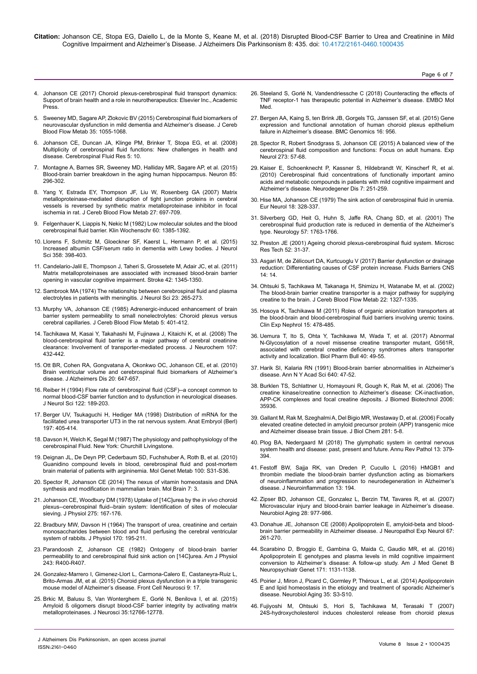**Citation:** Johanson CE, Stopa EG, Daiello L, de la Monte S, Keane M, et al. (2018) Disrupted Blood-CSF Barrier to Urea and Creatinine in Mild Cognitive Impairment and Alzheimer's Disease. J Alzheimers Dis Parkinsonism 8: 435. doi: 10.4172/2161-0460.1000435

Page 6 of 7

- 4. Johanson CE (2017) Choroid plexus-cerebrospinal fluid transport dynamics: Support of brain health and a role in neurotherapeutics: Elsevier Inc., Academic Press.
- 5. [Sweeney MD, Sagare AP, Zlokovic BV \(2015\) Cerebrospinal fluid biomarkers of](https://doi.org/10.1038/jcbfm.2015.76) [neurovascular dysfunction in mild dementia and Alzheimer's disease. J Cereb](https://doi.org/10.1038/jcbfm.2015.76) [Blood Flow Metab 35: 1055-1068.](https://doi.org/10.1038/jcbfm.2015.76)
- 6. [Johanson CE, Duncan JA, Klinge PM, Brinker T, Stopa EG, et al. \(2008\)](https://doi.org/10.1186/1743-8454-5-10) [Multiplicity of cerebrospinal fluid functions: New challenges in health and](https://doi.org/10.1186/1743-8454-5-10) [disease. Cerebrospinal Fluid Res 5: 10.](https://doi.org/10.1186/1743-8454-5-10)
- 7. [Montagne A, Barnes SR, Sweeney MD, Halliday MR, Sagare AP, et al. \(2015\)](https://dx.doi.org/10.1016%2Fj.neuron.2014.12.032) [Blood-brain barrier breakdown in the aging human hippocampus. Neuron 85:](https://dx.doi.org/10.1016%2Fj.neuron.2014.12.032) [296-302.](https://dx.doi.org/10.1016%2Fj.neuron.2014.12.032)
- 8. [Yang Y, Estrada EY, Thompson JF, Liu W, Rosenberg GA \(2007\) Matrix](https://doi.org/10.1038/sj.jcbfm.9600375) [metalloproteinase-mediated disruption of tight junction proteins in cerebral](https://doi.org/10.1038/sj.jcbfm.9600375) [vessels is reversed by synthetic matrix metalloproteinase inhibitor in focal](https://doi.org/10.1038/sj.jcbfm.9600375) [ischemia in rat. J Cereb Blood Flow Metab 27: 697-709.](https://doi.org/10.1038/sj.jcbfm.9600375)
- 9. Felgenhauer K, Liappis N, Nekic M (1982) Low molecular solutes and the blood cerebrospinal fluid barrier. Klin Wochenschr 60: 1385-1392.
- 10. [Llorens F, Schmitz M, Gloeckner SF, Kaerst L, Hermann P, et al. \(2015\)](https://doi.org/10.1016/j.jns.2015.10.011) [Increased albumin CSF/serum ratio in dementia with Lewy bodies. J Neurol](https://doi.org/10.1016/j.jns.2015.10.011) [Sci 358: 398-403.](https://doi.org/10.1016/j.jns.2015.10.011)
- 11. [Candelario-Jalil E, Thompson J, Taheri S, Grossetete M, Adair JC, et al. \(2011\)](https://doi.org/10.1161/STROKEAHA.110.600825) [Matrix metalloproteinases are associated with increased blood-brain barrier](https://doi.org/10.1161/STROKEAHA.110.600825) [opening in vascular cognitive impairment. Stroke 42: 1345-1350.](https://doi.org/10.1161/STROKEAHA.110.600825)
- 12. [Sambrook MA \(1974\) The relationship between cerebrospinal fluid and plasma](https://www.sciencedirect.com/science/article/pii/0022510X74902305) [electrolytes in patients with meningitis. J Neurol Sci 23: 265-273.](https://www.sciencedirect.com/science/article/pii/0022510X74902305)
- 13. [Murphy VA, Johanson CE \(1985\) Adrenergic-induced enhancement of brain](https://doi.org/10.1038/jcbfm.1985.55) [barrier system permeability to small nonelectrolytes: Choroid plexus versus](https://doi.org/10.1038/jcbfm.1985.55) [cerebral capillaries. J Cereb Blood Flow Metab 5: 401-412.](https://doi.org/10.1038/jcbfm.1985.55)
- 14. [Tachikawa M, Kasai Y, Takahashi M, Fujinawa J, Kitaichi K, et al. \(2008\) The](http://dx.doi.org/10.1111/j.1471-4159.2008.05641.x) [blood-cerebrospinal fluid barrier is a major pathway of cerebral creatinine](http://dx.doi.org/10.1111/j.1471-4159.2008.05641.x) [clearance: Involvement of transporter-mediated process. J Neurochem 107:](http://dx.doi.org/10.1111/j.1471-4159.2008.05641.x) [432-442.](http://dx.doi.org/10.1111/j.1471-4159.2008.05641.x)
- 15. [Ott BR, Cohen RA, Gongvatana A, Okonkwo OC, Johanson CE, et al. \(2010\)](https://doi.org/10.3233/JAD-2010-1406) [Brain ventricular volume and cerebrospinal fluid biomarkers of Alzheimer's](https://doi.org/10.3233/JAD-2010-1406) [disease. J Alzheimers Dis 20: 647-657.](https://doi.org/10.3233/JAD-2010-1406)
- 16. [Reiber H \(1994\) Flow rate of cerebrospinal fluid \(CSF\)--a concept common to](https://linkinghub.elsevier.com/retrieve/pii/0022-510X(94)90298-4) [normal blood-CSF barrier function and to dysfunction in neurological diseases.](https://linkinghub.elsevier.com/retrieve/pii/0022-510X(94)90298-4) [J Neurol Sci 122: 189-203.](https://linkinghub.elsevier.com/retrieve/pii/0022-510X(94)90298-4)
- 17. Berger UV, Tsukaguchi H, Hediger MA (1998) Distribution of mRNA for the facilitated urea transporter UT3 in the rat nervous system. Anat Embryol (Berl) 197: 405-414.
- 18. Davson H, Welch K, Segal M (1987) The physiology and pathophysiology of the cerebrospinal Fluid. New York: Churchill Livingstone.
- 19. [Deignan JL, De Deyn PP, Cederbaum SD, Fuchshuber A, Roth B, et al. \(2010\)](https://doi.org/10.1016/j.ymgme.2010.01.012) [Guanidino compound levels in blood, cerebrospinal fluid and post-mortem](https://doi.org/10.1016/j.ymgme.2010.01.012) [brain material of patients with argininemia. Mol Genet Metab 100: S31-S36.](https://doi.org/10.1016/j.ymgme.2010.01.012)
- 20. [Spector R, Johanson CE \(2014\) The nexus of vitamin homeostasis and DNA](https://doi.org/10.1186/1756-6606-7-3) [synthesis and modification in mammalian brain. Mol Brain 7: 3.](https://doi.org/10.1186/1756-6606-7-3)
- 21. Johanson CE, Woodbury DM (1978) Uptake of [14C]urea by the *in vivo* choroid plexus--cerebrospinal fluid--brain system: Identification of sites of molecular sieving. J Physiol 275: 167-176.
- 22. Bradbury MW, Davson H (1964) The transport of urea, creatinine and certain monosaccharides between blood and fluid perfusing the cerebral ventricular system of rabbits. J Physiol 170: 195-211.
- 23. [Parandoosh Z, Johanson CE \(1982\) Ontogeny of blood-brain barrier](https://doi.org/10.1152/ajpregu.1982.243.3.R400) [permeability to and cerebrospinal fluid sink action on \[14C\]urea. Am J Physiol](https://doi.org/10.1152/ajpregu.1982.243.3.R400) [243: R400-R407.](https://doi.org/10.1152/ajpregu.1982.243.3.R400)
- 24. [Gonzalez-Marrero I, Gimenez-Llort L, Carmona-Calero E, Castaneyra-Ruiz L,](https://doi.org/10.3389/fncel.2015.00017) [Brito-Armas JM, et al. \(2015\) Choroid plexus dysfunction in a triple transgenic](https://doi.org/10.3389/fncel.2015.00017) [mouse model of Alzheimer's disease. Front Cell Neurosci 9: 17.](https://doi.org/10.3389/fncel.2015.00017)
- 25. [Brkic M, Balusu S, Van Wonterghem E, Gorlé N, Benilova I, et al. \(2015\)](https://doi.org/10.1523/JNEUROSCI.0006-15.2015) [Amyloid ß oligomers disrupt blood-CSF barrier integrity by activating matrix](https://doi.org/10.1523/JNEUROSCI.0006-15.2015) [metalloproteinases. J Neurosci 35:12766-12778.](https://doi.org/10.1523/JNEUROSCI.0006-15.2015)
- 26. [Steeland S, Gorlé N, Vandendriessche C \(2018\) Counteracting the effects of](http://dx.doi.org/10.15252/emmm.201708300)  [TNF receptor-1 has therapeutic potential in Alzheimer's disease. EMBO Mol](http://dx.doi.org/10.15252/emmm.201708300)  [Med.](http://dx.doi.org/10.15252/emmm.201708300)
- 27. [Bergen AA, Kaing S, ten Brink JB, Gorgels TG, Janssen SF, et al. \(2015\) Gene](https://doi.org/10.1186/s12864-015-2159-z)  [expression and functional annotation of human choroid plexus epithelium](https://doi.org/10.1186/s12864-015-2159-z)  [failure in Alzheimer's disease. BMC Genomics 16: 956.](https://doi.org/10.1186/s12864-015-2159-z)
- 28. [Spector R, Robert Snodgrass S, Johanson CE \(2015\) A balanced view of the](http://dx.doi.org/10.1016/j.expneurol.2015.07.027)  [cerebrospinal fluid composition and functions: Focus on adult humans. Exp](http://dx.doi.org/10.1016/j.expneurol.2015.07.027)  [Neurol 273: 57-68.](http://dx.doi.org/10.1016/j.expneurol.2015.07.027)
- 29. [Kaiser E, Schoenknecht P, Kassner S, Hildebrandt W, Kinscherf R, et al.](https://doi.org/10.1159/000287953)  [\(2010\) Cerebrospinal fluid concentrations of functionally important amino](https://doi.org/10.1159/000287953)  [acids and metabolic compounds in patients with mild cognitive impairment and](https://doi.org/10.1159/000287953)  [Alzheimer's disease. Neurodegener Dis 7: 251-259.](https://doi.org/10.1159/000287953)
- 30. [Hise MA, Johanson CE \(1979\) The sink action of cerebrospinal fluid in uremia.](http://dx.doi.org/10.1159/000115097)  [Eur Neurol 18: 328-337.](http://dx.doi.org/10.1159/000115097)
- 31. [Silverberg GD, Heit G, Huhn S, Jaffe RA, Chang SD, et al. \(2001\) The](https://doi.org/10.1212/WNL.57.10.1763)  [cerebrospinal fluid production rate is reduced in dementia of the Alzheimer's](https://doi.org/10.1212/WNL.57.10.1763)  [type. Neurology 57: 1763-1766.](https://doi.org/10.1212/WNL.57.10.1763)
- 32. [Preston JE \(2001\) Ageing choroid plexus-cerebrospinal fluid system. Microsc](http://dx.doi.org/10.1002/1097-0029(20010101)52)  [Res Tech 52: 31-37.](http://dx.doi.org/10.1002/1097-0029(20010101)52)
- 33. [Asgari M, de Zélicourt DA, Kurtcuoglu V \(2017\) Barrier dysfunction or drainage](https://doi.org/10.1186/s12987-017-0063-4)  [reduction: Differentiating causes of CSF protein increase. Fluids Barriers CNS](https://doi.org/10.1186/s12987-017-0063-4)  [14: 14.](https://doi.org/10.1186/s12987-017-0063-4)
- 34. [Ohtsuki S, Tachikawa M, Takanaga H, Shimizu H, Watanabe M, et al. \(2002\)](https://doi.org/10.1097/01.WCB.0000033966.83623.7D)  [The blood-brain barrier creatine transporter is a major pathway for supplying](https://doi.org/10.1097/01.WCB.0000033966.83623.7D)  [creatine to the brain. J Cereb Blood Flow Metab 22: 1327-1335.](https://doi.org/10.1097/01.WCB.0000033966.83623.7D)
- 35. [Hosoya K, Tachikawa M \(2011\) Roles of organic anion/cation transporters at](https://doi.org/10.1007/s10157-011-0460-y)  [the blood-brain and blood-cerebrospinal fluid barriers involving uremic toxins.](https://doi.org/10.1007/s10157-011-0460-y)  [Clin Exp Nephrol 15: 478-485.](https://doi.org/10.1007/s10157-011-0460-y)
- 36. [Uemura T, Ito S, Ohta Y, Tachikawa M, Wada T, et al. \(2017\) Abnormal](https://doi.org/10.1248/bpb.b16-00582)  [N-Glycosylation of a novel missense creatine transporter mutant, G561R,](https://doi.org/10.1248/bpb.b16-00582)  [associated with cerebral creatine deficiency syndromes alters transporter](https://doi.org/10.1248/bpb.b16-00582)  [activity and localization. Biol Pharm Bull 40: 49-55.](https://doi.org/10.1248/bpb.b16-00582)
- 37. Harik SI, Kalaria RN (1991) Blood-brain barrier abnormalities in Alzheimer's disease. Ann N Y Acad Sci 640: 47-52.
- 38. [Burklen TS, Schlattner U, Homayouni R, Gough K, Rak M, et al. \(2006\) The](https://doi.org/10.1155/JBB/2006/35936)  [creatine kinase/creatine connection to Alzheimer's disease: CK-inactivation,](https://doi.org/10.1155/JBB/2006/35936)  [APP-CK complexes and focal creatine deposits. J Biomed Biotechnol 2006:](https://doi.org/10.1155/JBB/2006/35936)  [35936.](https://doi.org/10.1155/JBB/2006/35936)
- 39. [Gallant M, Rak M, Szeghalmi A, Del Bigio MR, Westaway D, et al. \(2006\) Focally](http://dx.doi.org/10.1074/jbc.C500244200)  [elevated creatine detected in amyloid precursor protein \(APP\) transgenic mice](http://dx.doi.org/10.1074/jbc.C500244200)  [and Alzheimer disease brain tissue. J Biol Chem 281: 5-8.](http://dx.doi.org/10.1074/jbc.C500244200)
- 40. [Plog BA, Nedergaard M \(2018\) The glymphatic system in central nervous](https://doi.org/10.1146/annurev-pathol-051217-111018)  [system health and disease: past, present and future. Annu Rev Pathol 13: 379-](https://doi.org/10.1146/annurev-pathol-051217-111018) [394.](https://doi.org/10.1146/annurev-pathol-051217-111018)
- 41. [Festoff BW, Sajja RK, van Dreden P, Cucullo L \(2016\) HMGB1 and](https://doi.org/10.1186/s12974-016-0670-z)  [thrombin mediate the blood-brain barrier dysfunction acting as biomarkers](https://doi.org/10.1186/s12974-016-0670-z)  [of neuroinflammation and progression to neurodegeneration in Alzheimer's](https://doi.org/10.1186/s12974-016-0670-z)  [disease. J Neuroinflammation 13: 194.](https://doi.org/10.1186/s12974-016-0670-z)
- 42. [Zipser BD, Johanson CE, Gonzalez L, Berzin TM, Tavares R, et al. \(2007\)](https://doi.org/10.1016/j.neurobiolaging.2006.05.016)  [Microvascular injury and blood-brain barrier leakage in Alzheimer's disease.](https://doi.org/10.1016/j.neurobiolaging.2006.05.016)  [Neurobiol Aging 28: 977-986.](https://doi.org/10.1016/j.neurobiolaging.2006.05.016)
- 43. [Donahue JE, Johanson CE \(2008\) Apolipoprotein E, amyloid-beta and blood](https://doi.org/10.1097/NEN.0b013e31816a0dc8)[brain barrier permeability in Alzheimer disease. J Neuropathol Exp Neurol 67:](https://doi.org/10.1097/NEN.0b013e31816a0dc8)  [261-270.](https://doi.org/10.1097/NEN.0b013e31816a0dc8)
- 44. [Scarabino D, Broggio E, Gambina G, Maida C, Gaudio MR, et al. \(2016\)](https://doi.org/10.1002/ajmg.b.32495)  [Apolipoprotein E genotypes and plasma levels in mild cognitive impairment](https://doi.org/10.1002/ajmg.b.32495)  [conversion to Alzheimer's disease: A follow-up study. Am J Med Genet B](https://doi.org/10.1002/ajmg.b.32495)  [Neuropsychiatr Genet 171: 1131-1138.](https://doi.org/10.1002/ajmg.b.32495)
- 45. [Poirier J, Miron J, Picard C, Gormley P, Théroux L, et al. \(2014\) Apolipoprotein](https://doi.org/10.1016/j.neurobiolaging.2014.03.037)  [E and lipid homeostasis in the etiology and treatment of sporadic Alzheimer's](https://doi.org/10.1016/j.neurobiolaging.2014.03.037)  [disease. Neurobiol Aging 35: S3-S10.](https://doi.org/10.1016/j.neurobiolaging.2014.03.037)
- 46. [Fujiyoshi M, Ohtsuki S, Hori S, Tachikawa M, Terasaki T \(2007\)](https://doi.org/10.1111/j.1471-4159.2006.04240.x)  [24S-hydroxycholesterol induces cholesterol release from choroid plexus](https://doi.org/10.1111/j.1471-4159.2006.04240.x)

J Alzheimers Dis Parkinsonism, an open access journal ISSN:2161-0460